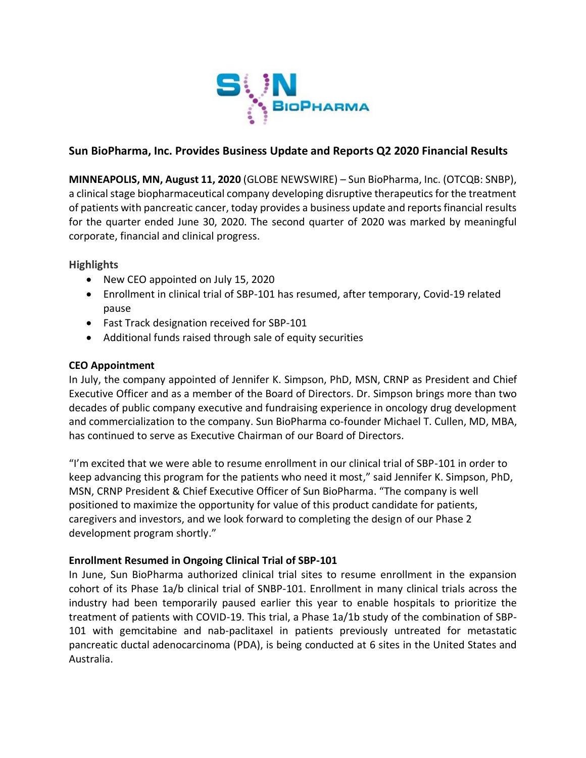

# **Sun BioPharma, Inc. Provides Business Update and Reports Q2 2020 Financial Results**

**MINNEAPOLIS, MN, August 11, 2020** (GLOBE NEWSWIRE) – Sun BioPharma, Inc. (OTCQB: SNBP), a clinical stage biopharmaceutical company developing disruptive therapeutics for the treatment of patients with pancreatic cancer, today provides a business update and reports financial results for the quarter ended June 30, 2020. The second quarter of 2020 was marked by meaningful corporate, financial and clinical progress.

## **Highlights**

- New CEO appointed on July 15, 2020
- Enrollment in clinical trial of SBP-101 has resumed, after temporary, Covid-19 related pause
- Fast Track designation received for SBP-101
- Additional funds raised through sale of equity securities

## **CEO Appointment**

In July, the company appointed of Jennifer K. Simpson, PhD, MSN, CRNP as President and Chief Executive Officer and as a member of the Board of Directors. Dr. Simpson brings more than two decades of public company executive and fundraising experience in oncology drug development and commercialization to the company. Sun BioPharma co-founder Michael T. Cullen, MD, MBA, has continued to serve as Executive Chairman of our Board of Directors.

"I'm excited that we were able to resume enrollment in our clinical trial of SBP-101 in order to keep advancing this program for the patients who need it most," said Jennifer K. Simpson, PhD, MSN, CRNP President & Chief Executive Officer of Sun BioPharma. "The company is well positioned to maximize the opportunity for value of this product candidate for patients, caregivers and investors, and we look forward to completing the design of our Phase 2 development program shortly."

## **Enrollment Resumed in Ongoing Clinical Trial of SBP-101**

In June, Sun BioPharma authorized clinical trial sites to resume enrollment in the expansion cohort of its Phase 1a/b clinical trial of SNBP-101. Enrollment in many clinical trials across the industry had been temporarily paused earlier this year to enable hospitals to prioritize the treatment of patients with COVID-19. This trial, a Phase 1a/1b study of the combination of SBP-101 with gemcitabine and nab-paclitaxel in patients previously untreated for metastatic pancreatic ductal adenocarcinoma (PDA), is being conducted at 6 sites in the United States and Australia.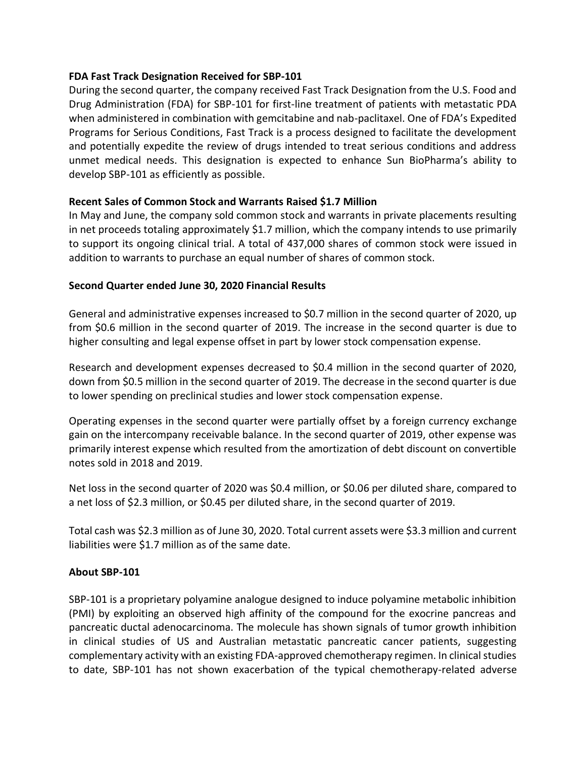#### **FDA Fast Track Designation Received for SBP-101**

During the second quarter, the company received Fast Track Designation from the U.S. Food and Drug Administration (FDA) for SBP-101 for first-line treatment of patients with metastatic PDA when administered in combination with gemcitabine and nab-paclitaxel. One of FDA's Expedited Programs for Serious Conditions, Fast Track is a process designed to facilitate the development and potentially expedite the review of drugs intended to treat serious conditions and address unmet medical needs. This designation is expected to enhance Sun BioPharma's ability to develop SBP-101 as efficiently as possible.

## **Recent Sales of Common Stock and Warrants Raised \$1.7 Million**

In May and June, the company sold common stock and warrants in private placements resulting in net proceeds totaling approximately \$1.7 million, which the company intends to use primarily to support its ongoing clinical trial. A total of 437,000 shares of common stock were issued in addition to warrants to purchase an equal number of shares of common stock.

## **Second Quarter ended June 30, 2020 Financial Results**

General and administrative expenses increased to \$0.7 million in the second quarter of 2020, up from \$0.6 million in the second quarter of 2019. The increase in the second quarter is due to higher consulting and legal expense offset in part by lower stock compensation expense.

Research and development expenses decreased to \$0.4 million in the second quarter of 2020, down from \$0.5 million in the second quarter of 2019. The decrease in the second quarter is due to lower spending on preclinical studies and lower stock compensation expense.

Operating expenses in the second quarter were partially offset by a foreign currency exchange gain on the intercompany receivable balance. In the second quarter of 2019, other expense was primarily interest expense which resulted from the amortization of debt discount on convertible notes sold in 2018 and 2019.

Net loss in the second quarter of 2020 was \$0.4 million, or \$0.06 per diluted share, compared to a net loss of \$2.3 million, or \$0.45 per diluted share, in the second quarter of 2019.

Total cash was \$2.3 million as of June 30, 2020. Total current assets were \$3.3 million and current liabilities were \$1.7 million as of the same date.

#### **About SBP-101**

SBP-101 is a proprietary polyamine analogue designed to induce polyamine metabolic inhibition (PMI) by exploiting an observed high affinity of the compound for the exocrine pancreas and pancreatic ductal adenocarcinoma. The molecule has shown signals of tumor growth inhibition in clinical studies of US and Australian metastatic pancreatic cancer patients, suggesting complementary activity with an existing FDA-approved chemotherapy regimen. In clinical studies to date, SBP-101 has not shown exacerbation of the typical chemotherapy-related adverse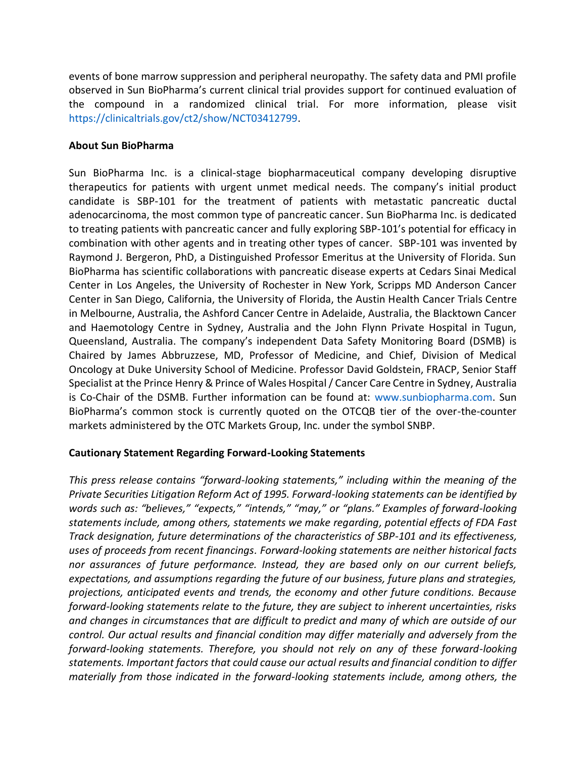events of bone marrow suppression and peripheral neuropathy. The safety data and PMI profile observed in Sun BioPharma's current clinical trial provides support for continued evaluation of the compound in a randomized clinical trial. For more information, please visit https://clinicaltrials.gov/ct2/show/NCT03412799.

#### **About Sun BioPharma**

Sun BioPharma Inc. is a clinical-stage biopharmaceutical company developing disruptive therapeutics for patients with urgent unmet medical needs. The company's initial product candidate is SBP-101 for the treatment of patients with metastatic pancreatic ductal adenocarcinoma, the most common type of pancreatic cancer. Sun BioPharma Inc. is dedicated to treating patients with pancreatic cancer and fully exploring SBP-101's potential for efficacy in combination with other agents and in treating other types of cancer. SBP-101 was invented by Raymond J. Bergeron, PhD, a Distinguished Professor Emeritus at the University of Florida. Sun BioPharma has scientific collaborations with pancreatic disease experts at Cedars Sinai Medical Center in Los Angeles, the University of Rochester in New York, Scripps MD Anderson Cancer Center in San Diego, California, the University of Florida, the Austin Health Cancer Trials Centre in Melbourne, Australia, the Ashford Cancer Centre in Adelaide, Australia, the Blacktown Cancer and Haemotology Centre in Sydney, Australia and the John Flynn Private Hospital in Tugun, Queensland, Australia. The company's independent Data Safety Monitoring Board (DSMB) is Chaired by James Abbruzzese, MD, Professor of Medicine, and Chief, Division of Medical Oncology at Duke University School of Medicine. Professor David Goldstein, FRACP, Senior Staff Specialist at the Prince Henry & Prince of Wales Hospital / Cancer Care Centre in Sydney, Australia is Co-Chair of the DSMB. Further information can be found at: www.sunbiopharma.com. Sun BioPharma's common stock is currently quoted on the OTCQB tier of the over-the-counter markets administered by the OTC Markets Group, Inc. under the symbol SNBP.

#### **Cautionary Statement Regarding Forward-Looking Statements**

*This press release contains "forward-looking statements," including within the meaning of the Private Securities Litigation Reform Act of 1995. Forward-looking statements can be identified by words such as: "believes," "expects," "intends," "may," or "plans." Examples of forward-looking statements include, among others, statements we make regarding, potential effects of FDA Fast Track designation, future determinations of the characteristics of SBP-101 and its effectiveness, uses of proceeds from recent financings. Forward-looking statements are neither historical facts nor assurances of future performance. Instead, they are based only on our current beliefs, expectations, and assumptions regarding the future of our business, future plans and strategies, projections, anticipated events and trends, the economy and other future conditions. Because forward-looking statements relate to the future, they are subject to inherent uncertainties, risks and changes in circumstances that are difficult to predict and many of which are outside of our control. Our actual results and financial condition may differ materially and adversely from the forward-looking statements. Therefore, you should not rely on any of these forward-looking statements. Important factors that could cause our actual results and financial condition to differ materially from those indicated in the forward-looking statements include, among others, the*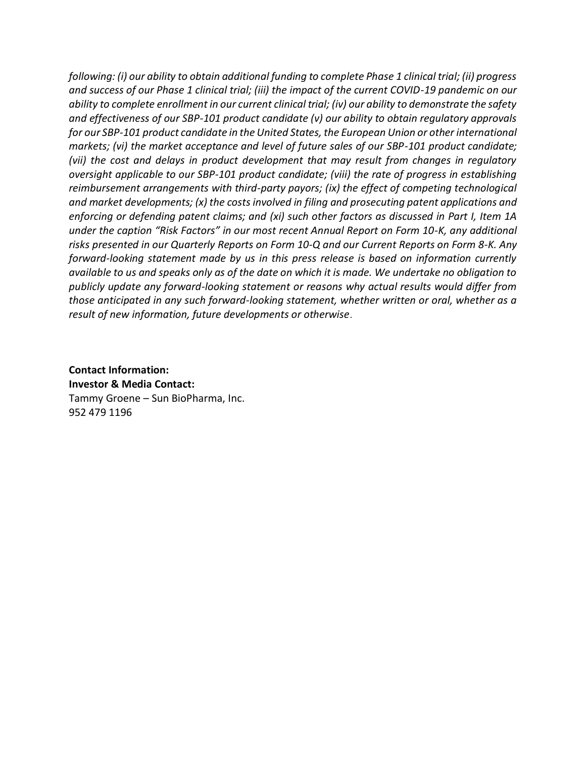*following: (i) our ability to obtain additional funding to complete Phase 1 clinical trial; (ii) progress and success of our Phase 1 clinical trial; (iii) the impact of the current COVID-19 pandemic on our ability to complete enrollment in our current clinical trial; (iv) our ability to demonstrate the safety and effectiveness of our SBP-101 product candidate (v) our ability to obtain regulatory approvals for our SBP-101 product candidate in the United States, the European Union or other international markets; (vi) the market acceptance and level of future sales of our SBP-101 product candidate; (vii) the cost and delays in product development that may result from changes in regulatory oversight applicable to our SBP-101 product candidate; (viii) the rate of progress in establishing reimbursement arrangements with third-party payors; (ix) the effect of competing technological and market developments; (x) the costs involved in filing and prosecuting patent applications and enforcing or defending patent claims; and (xi) such other factors as discussed in Part I, Item 1A under the caption "Risk Factors" in our most recent Annual Report on Form 10-K, any additional risks presented in our Quarterly Reports on Form 10-Q and our Current Reports on Form 8-K. Any forward-looking statement made by us in this press release is based on information currently available to us and speaks only as of the date on which it is made. We undertake no obligation to publicly update any forward-looking statement or reasons why actual results would differ from those anticipated in any such forward-looking statement, whether written or oral, whether as a result of new information, future developments or otherwise*.

**Contact Information: Investor & Media Contact:** Tammy Groene – Sun BioPharma, Inc. 952 479 1196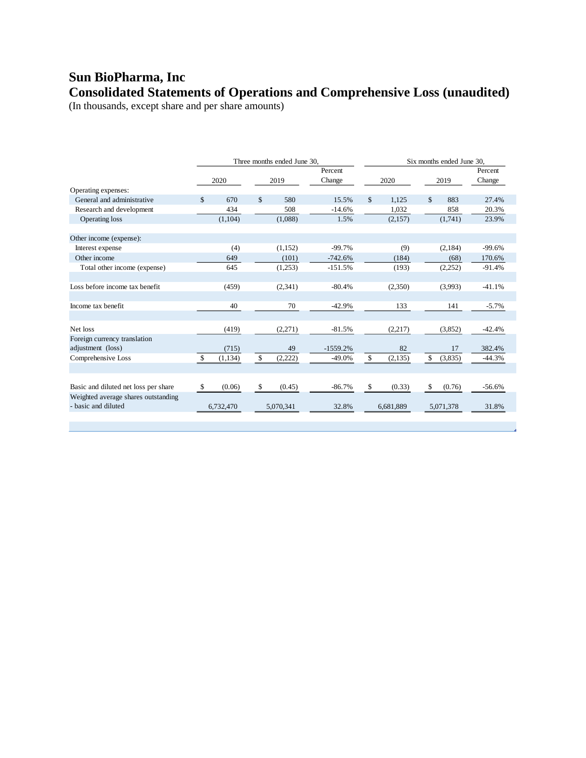# **Sun BioPharma, Inc Consolidated Statements of Operations and Comprehensive Loss (unaudited)**

(In thousands, except share and per share amounts)

|                                      | Three months ended June 30. |          |              |         | Six months ended June 30. |              |          |               |         |                   |
|--------------------------------------|-----------------------------|----------|--------------|---------|---------------------------|--------------|----------|---------------|---------|-------------------|
|                                      |                             | 2020     |              | 2019    | Percent<br>Change         |              | 2020     |               | 2019    | Percent<br>Change |
| Operating expenses:                  |                             |          |              |         |                           |              |          |               |         |                   |
| General and administrative           | $\mathbb{S}$                | 670      | $\mathbb{S}$ | 580     | 15.5%                     | $\mathbb{S}$ | 1.125    | $\mathcal{S}$ | 883     | 27.4%             |
| Research and development             |                             | 434      |              | 508     | $-14.6%$                  |              | 1,032    |               | 858     | 20.3%             |
| Operating loss                       |                             | (1,104)  |              | (1,088) | 1.5%                      |              | (2,157)  |               | (1,741) | 23.9%             |
|                                      |                             |          |              |         |                           |              |          |               |         |                   |
| Other income (expense):              |                             |          |              |         |                           |              |          |               |         |                   |
| Interest expense                     |                             | (4)      |              | (1,152) | $-99.7%$                  |              | (9)      |               | (2,184) | $-99.6%$          |
| Other income                         |                             | 649      |              | (101)   | $-742.6%$                 |              | (184)    |               | (68)    | 170.6%            |
| Total other income (expense)         |                             | 645      |              | (1,253) | $-151.5%$                 |              | (193)    |               | (2,252) | $-91.4%$          |
|                                      |                             |          |              |         |                           |              |          |               |         |                   |
| Loss before income tax benefit       |                             | (459)    |              | (2,341) | $-80.4%$                  |              | (2,350)  |               | (3,993) | $-41.1%$          |
|                                      |                             |          |              |         |                           |              |          |               |         |                   |
| Income tax benefit                   |                             | 40       |              | 70      | $-42.9%$                  |              | 133      |               | 141     | $-5.7\%$          |
|                                      |                             |          |              |         |                           |              |          |               |         |                   |
| Net loss                             |                             | (419)    |              | (2,271) | $-81.5%$                  |              | (2,217)  |               | (3,852) | $-42.4%$          |
| Foreign currency translation         |                             |          |              |         |                           |              |          |               |         |                   |
| adjustment (loss)                    |                             | (715)    |              | 49      | $-1559.2%$                |              | 82       |               | 17      | 382.4%            |
| Comprehensive Loss                   | \$                          | (1, 134) | \$           | (2,222) | $-49.0%$                  | \$           | (2, 135) | \$            | (3,835) | $-44.3%$          |
|                                      |                             |          |              |         |                           |              |          |               |         |                   |
| Basic and diluted net loss per share | \$                          | (0.06)   | \$           | (0.45)  | $-86.7%$                  | \$           | (0.33)   | \$            | (0.76)  | $-56.6%$          |
| Weighted average shares outstanding  |                             |          |              |         |                           |              |          |               |         |                   |
| - basic and diluted                  | 6,732,470                   |          | 5.070.341    |         | 32.8%                     | 6.681.889    |          | 5,071,378     |         | 31.8%             |
|                                      |                             |          |              |         |                           |              |          |               |         |                   |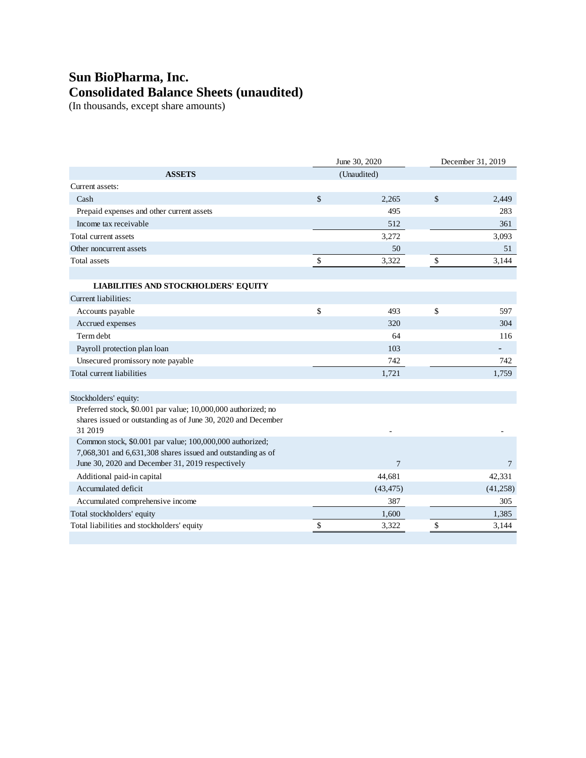# **Sun BioPharma, Inc. Consolidated Balance Sheets (unaudited)**

(In thousands, except share amounts)

|                                                                                                                         |              | June 30, 2020 | December 31, 2019 |                 |  |
|-------------------------------------------------------------------------------------------------------------------------|--------------|---------------|-------------------|-----------------|--|
| <b>ASSETS</b>                                                                                                           |              | (Unaudited)   |                   |                 |  |
| Current assets:                                                                                                         |              |               |                   |                 |  |
| Cash                                                                                                                    | \$           | 2,265         | $\mathsf{\$}$     | 2,449           |  |
| Prepaid expenses and other current assets                                                                               |              | 495           |                   | 283             |  |
| Income tax receivable                                                                                                   |              | 512           |                   | 361             |  |
| Total current assets                                                                                                    |              | 3,272         |                   | 3,093           |  |
| Other noncurrent assets                                                                                                 |              | 50            |                   | 51              |  |
| <b>Total</b> assets                                                                                                     | $\mathbb{S}$ | 3,322         | \$                | 3,144           |  |
|                                                                                                                         |              |               |                   |                 |  |
| <b>LIABILITIES AND STOCKHOLDERS' EQUITY</b>                                                                             |              |               |                   |                 |  |
| Current liabilities:                                                                                                    |              |               |                   |                 |  |
| Accounts payable                                                                                                        | \$           | 493           | \$                | 597             |  |
| Accrued expenses                                                                                                        |              | 320           |                   | 304             |  |
| Term debt                                                                                                               |              | 64            |                   | 116             |  |
| Payroll protection plan loan                                                                                            |              | 103           |                   |                 |  |
| Unsecured promissory note payable                                                                                       |              | 742           |                   | 742             |  |
| Total current liabilities                                                                                               |              | 1,721         |                   | 1,759           |  |
|                                                                                                                         |              |               |                   |                 |  |
| Stockholders' equity:                                                                                                   |              |               |                   |                 |  |
| Preferred stock, \$0.001 par value; 10,000,000 authorized; no                                                           |              |               |                   |                 |  |
| shares issued or outstanding as of June 30, 2020 and December                                                           |              |               |                   |                 |  |
| 31 2019                                                                                                                 |              |               |                   |                 |  |
| Common stock, \$0.001 par value; 100,000,000 authorized;<br>7,068,301 and 6,631,308 shares issued and outstanding as of |              |               |                   |                 |  |
| June 30, 2020 and December 31, 2019 respectively                                                                        |              | 7             |                   | $7\phantom{.0}$ |  |
| Additional paid-in capital                                                                                              |              | 44,681        |                   | 42,331          |  |
| Accumulated deficit                                                                                                     |              | (43, 475)     |                   | (41,258)        |  |
| Accumulated comprehensive income                                                                                        |              | 387           |                   | 305             |  |
| Total stockholders' equity                                                                                              |              | 1,600         |                   | 1,385           |  |
| Total liabilities and stockholders' equity                                                                              | \$           | 3,322         | \$                | 3,144           |  |
|                                                                                                                         |              |               |                   |                 |  |